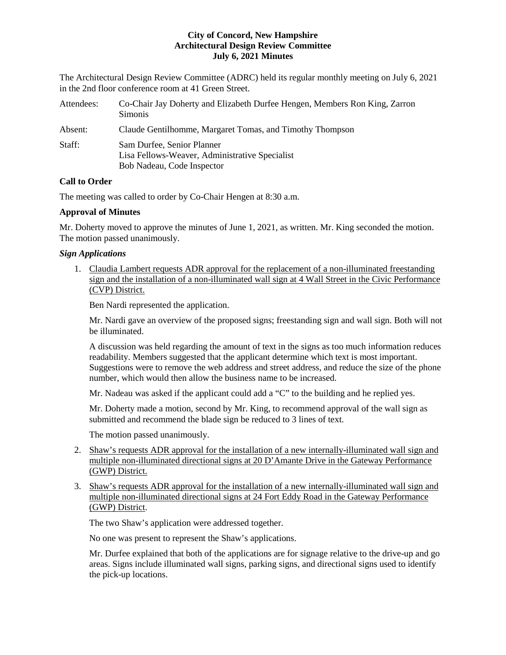The Architectural Design Review Committee (ADRC) held its regular monthly meeting on July 6, 2021 in the 2nd floor conference room at 41 Green Street.

| Attendees: | Co-Chair Jay Doherty and Elizabeth Durfee Hengen, Members Ron King, Zarron<br><b>Simonis</b>               |
|------------|------------------------------------------------------------------------------------------------------------|
| Absent:    | Claude Gentilhomme, Margaret Tomas, and Timothy Thompson                                                   |
| Staff:     | Sam Durfee, Senior Planner<br>Lisa Fellows-Weaver, Administrative Specialist<br>Bob Nadeau, Code Inspector |

# **Call to Order**

The meeting was called to order by Co-Chair Hengen at 8:30 a.m.

# **Approval of Minutes**

Mr. Doherty moved to approve the minutes of June 1, 2021, as written. Mr. King seconded the motion. The motion passed unanimously.

# *Sign Applications*

1. Claudia Lambert requests ADR approval for the replacement of a non-illuminated freestanding sign and the installation of a non-illuminated wall sign at 4 Wall Street in the Civic Performance (CVP) District.

Ben Nardi represented the application.

Mr. Nardi gave an overview of the proposed signs; freestanding sign and wall sign. Both will not be illuminated.

A discussion was held regarding the amount of text in the signs as too much information reduces readability. Members suggested that the applicant determine which text is most important. Suggestions were to remove the web address and street address, and reduce the size of the phone number, which would then allow the business name to be increased.

Mr. Nadeau was asked if the applicant could add a "C" to the building and he replied yes.

Mr. Doherty made a motion, second by Mr. King, to recommend approval of the wall sign as submitted and recommend the blade sign be reduced to 3 lines of text.

The motion passed unanimously.

- 2. Shaw's requests ADR approval for the installation of a new internally-illuminated wall sign and multiple non-illuminated directional signs at 20 D'Amante Drive in the Gateway Performance (GWP) District.
- 3. Shaw's requests ADR approval for the installation of a new internally-illuminated wall sign and multiple non-illuminated directional signs at 24 Fort Eddy Road in the Gateway Performance (GWP) District.

The two Shaw's application were addressed together.

No one was present to represent the Shaw's applications.

Mr. Durfee explained that both of the applications are for signage relative to the drive-up and go areas. Signs include illuminated wall signs, parking signs, and directional signs used to identify the pick-up locations.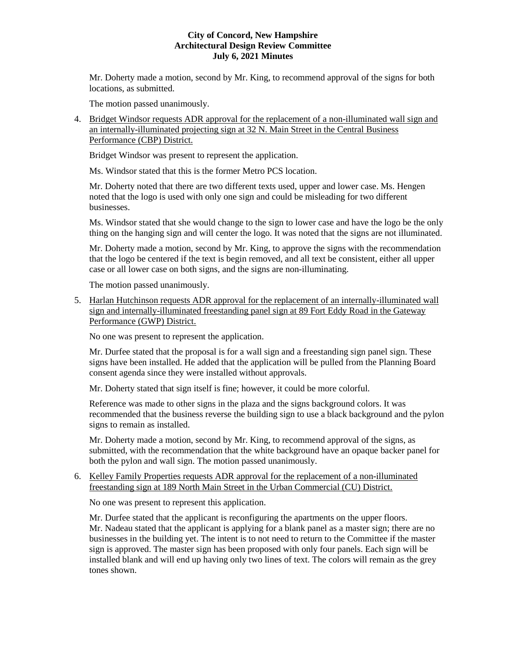Mr. Doherty made a motion, second by Mr. King, to recommend approval of the signs for both locations, as submitted.

The motion passed unanimously.

4. Bridget Windsor requests ADR approval for the replacement of a non-illuminated wall sign and an internally-illuminated projecting sign at 32 N. Main Street in the Central Business Performance (CBP) District.

Bridget Windsor was present to represent the application.

Ms. Windsor stated that this is the former Metro PCS location.

Mr. Doherty noted that there are two different texts used, upper and lower case. Ms. Hengen noted that the logo is used with only one sign and could be misleading for two different businesses.

Ms. Windsor stated that she would change to the sign to lower case and have the logo be the only thing on the hanging sign and will center the logo. It was noted that the signs are not illuminated.

Mr. Doherty made a motion, second by Mr. King, to approve the signs with the recommendation that the logo be centered if the text is begin removed, and all text be consistent, either all upper case or all lower case on both signs, and the signs are non-illuminating.

The motion passed unanimously.

5. Harlan Hutchinson requests ADR approval for the replacement of an internally-illuminated wall sign and internally-illuminated freestanding panel sign at 89 Fort Eddy Road in the Gateway Performance (GWP) District.

No one was present to represent the application.

Mr. Durfee stated that the proposal is for a wall sign and a freestanding sign panel sign. These signs have been installed. He added that the application will be pulled from the Planning Board consent agenda since they were installed without approvals.

Mr. Doherty stated that sign itself is fine; however, it could be more colorful.

Reference was made to other signs in the plaza and the signs background colors. It was recommended that the business reverse the building sign to use a black background and the pylon signs to remain as installed.

Mr. Doherty made a motion, second by Mr. King, to recommend approval of the signs, as submitted, with the recommendation that the white background have an opaque backer panel for both the pylon and wall sign. The motion passed unanimously.

## 6. [Kelley Family Properties](https://www.concordnh.gov/DocumentCenter/View/17431/189-N-Main-St----Kelley-Prop---1-sign-for-ADR) requests ADR approval for the replacement of a non-illuminated freestanding sign at 189 North Main Street in the Urban Commercial (CU) District.

No one was present to represent this application.

Mr. Durfee stated that the applicant is reconfiguring the apartments on the upper floors. Mr. Nadeau stated that the applicant is applying for a blank panel as a master sign; there are no businesses in the building yet. The intent is to not need to return to the Committee if the master sign is approved. The master sign has been proposed with only four panels. Each sign will be installed blank and will end up having only two lines of text. The colors will remain as the grey tones shown.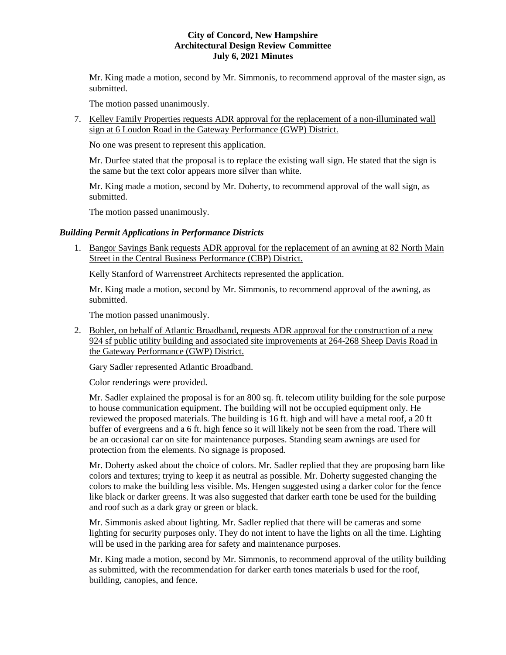Mr. King made a motion, second by Mr. Simmonis, to recommend approval of the master sign, as submitted.

The motion passed unanimously.

7. Kelley Family Properties requests ADR approval for the replacement of a non-illuminated wall sign at 6 Loudon Road in the Gateway Performance (GWP) District.

No one was present to represent this application.

Mr. Durfee stated that the proposal is to replace the existing wall sign. He stated that the sign is the same but the text color appears more silver than white.

Mr. King made a motion, second by Mr. Doherty, to recommend approval of the wall sign, as submitted.

The motion passed unanimously.

## *Building Permit Applications in Performance Districts*

1. Bangor Savings Bank requests ADR approval for the replacement of an awning at 82 North Main Street in the Central Business Performance (CBP) District.

Kelly Stanford of Warrenstreet Architects represented the application.

Mr. King made a motion, second by Mr. Simmonis, to recommend approval of the awning, as submitted.

The motion passed unanimously.

2. Bohler, on behalf of Atlantic Broadband, requests ADR approval for the construction of a new 924 sf public utility building and associated site improvements at 264-268 Sheep Davis Road in the Gateway Performance (GWP) District.

Gary Sadler represented Atlantic Broadband.

Color renderings were provided.

Mr. Sadler explained the proposal is for an 800 sq. ft. telecom utility building for the sole purpose to house communication equipment. The building will not be occupied equipment only. He reviewed the proposed materials. The building is 16 ft. high and will have a metal roof, a 20 ft buffer of evergreens and a 6 ft. high fence so it will likely not be seen from the road. There will be an occasional car on site for maintenance purposes. Standing seam awnings are used for protection from the elements. No signage is proposed.

Mr. Doherty asked about the choice of colors. Mr. Sadler replied that they are proposing barn like colors and textures; trying to keep it as neutral as possible. Mr. Doherty suggested changing the colors to make the building less visible. Ms. Hengen suggested using a darker color for the fence like black or darker greens. It was also suggested that darker earth tone be used for the building and roof such as a dark gray or green or black.

Mr. Simmonis asked about lighting. Mr. Sadler replied that there will be cameras and some lighting for security purposes only. They do not intent to have the lights on all the time. Lighting will be used in the parking area for safety and maintenance purposes.

Mr. King made a motion, second by Mr. Simmonis, to recommend approval of the utility building as submitted, with the recommendation for darker earth tones materials b used for the roof, building, canopies, and fence.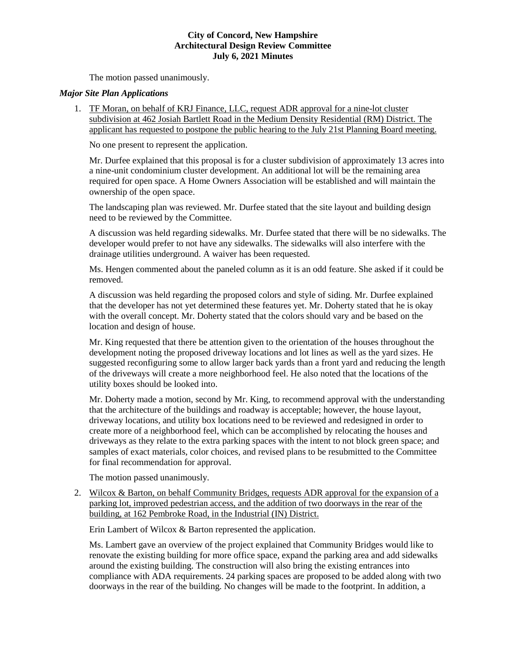The motion passed unanimously.

# *Major Site Plan Applications*

1. TF Moran, on behalf of KRJ Finance, LLC, request ADR approval for a nine-lot cluster subdivision at 462 Josiah Bartlett Road in the Medium Density Residential (RM) District. The applicant has requested to postpone the public hearing to the July 21st Planning Board meeting.

No one present to represent the application.

Mr. Durfee explained that this proposal is for a cluster subdivision of approximately 13 acres into a nine-unit condominium cluster development. An additional lot will be the remaining area required for open space. A Home Owners Association will be established and will maintain the ownership of the open space.

The landscaping plan was reviewed. Mr. Durfee stated that the site layout and building design need to be reviewed by the Committee.

A discussion was held regarding sidewalks. Mr. Durfee stated that there will be no sidewalks. The developer would prefer to not have any sidewalks. The sidewalks will also interfere with the drainage utilities underground. A waiver has been requested.

Ms. Hengen commented about the paneled column as it is an odd feature. She asked if it could be removed.

A discussion was held regarding the proposed colors and style of siding. Mr. Durfee explained that the developer has not yet determined these features yet. Mr. Doherty stated that he is okay with the overall concept. Mr. Doherty stated that the colors should vary and be based on the location and design of house.

Mr. King requested that there be attention given to the orientation of the houses throughout the development noting the proposed driveway locations and lot lines as well as the yard sizes. He suggested reconfiguring some to allow larger back yards than a front yard and reducing the length of the driveways will create a more neighborhood feel. He also noted that the locations of the utility boxes should be looked into.

Mr. Doherty made a motion, second by Mr. King, to recommend approval with the understanding that the architecture of the buildings and roadway is acceptable; however, the house layout, driveway locations, and utility box locations need to be reviewed and redesigned in order to create more of a neighborhood feel, which can be accomplished by relocating the houses and driveways as they relate to the extra parking spaces with the intent to not block green space; and samples of exact materials, color choices, and revised plans to be resubmitted to the Committee for final recommendation for approval.

The motion passed unanimously.

2. Wilcox & Barton, on behalf Community Bridges, requests ADR approval for the expansion of a parking lot, improved pedestrian access, and the addition of two doorways in the rear of the building, at 162 Pembroke Road, in the Industrial (IN) District.

Erin Lambert of Wilcox & Barton represented the application.

Ms. Lambert gave an overview of the project explained that Community Bridges would like to renovate the existing building for more office space, expand the parking area and add sidewalks around the existing building. The construction will also bring the existing entrances into compliance with ADA requirements. 24 parking spaces are proposed to be added along with two doorways in the rear of the building. No changes will be made to the footprint. In addition, a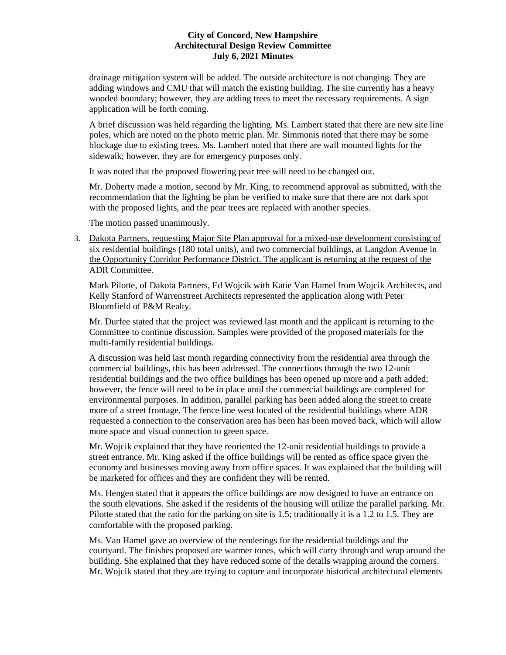drainage mitigation system will be added. The outside architecture is not changing. They are adding windows and CMU that will match the existing building. The site currently has a heavy wooded boundary; however, they are adding trees to meet the necessary requirements. A sign application will be forth coming.

A brief discussion was held regarding the lighting. Ms. Lambert stated that there are new site line poles, which are noted on the photo metric plan. Mr. Simmonis noted that there may be some blockage due to existing trees. Ms. Lambert noted that there are wall mounted lights for the sidewalk; however, they are for emergency purposes only.

It was noted that the proposed flowering pear tree will need to be changed out.

Mr. Doherty made a motion, second by Mr. King, to recommend approval as submitted, with the recommendation that the lighting be plan be verified to make sure that there are not dark spot with the proposed lights, and the pear trees are replaced with another species.

The motion passed unanimously.

3. Dakota Partners, requesting Major Site Plan approval for a mixed-use development consisting of six residential buildings (180 total units), and two commercial buildings, at Langdon Avenue in the Opportunity Corridor Performance District. The applicant is returning at the request of the ADR Committee.

Mark Pilotte, of Dakota Partners, Ed Wojcik with Katie Van Hamel from Wojcik Architects, and Kelly Stanford of Warrenstreet Architects represented the application along with Peter Bloomfield of P&M Realty.

Mr. Durfee stated that the project was reviewed last month and the applicant is returning to the Committee to continue discussion. Samples were provided of the proposed materials for the multi-family residential buildings.

A discussion was held last month regarding connectivity from the residential area through the commercial buildings, this has been addressed. The connections through the two 12-unit residential buildings and the two office buildings has been opened up more and a path added; however, the fence will need to be in place until the commercial buildings are completed for environmental purposes. In addition, parallel parking has been added along the street to create more of a street frontage. The fence line west located of the residential buildings where ADR requested a connection to the conservation area has been has been moved back, which will allow more space and visual connection to green space.

Mr. Wojcik explained that they have reoriented the 12-unit residential buildings to provide a street entrance. Mr. King asked if the office buildings will be rented as office space given the economy and businesses moving away from office spaces. It was explained that the building will be marketed for offices and they are confident they will be rented.

Ms. Hengen stated that it appears the office buildings are now designed to have an entrance on the south elevations. She asked if the residents of the housing will utilize the parallel parking. Mr. Pilotte stated that the ratio for the parking on site is 1.5; traditionally it is a 1.2 to 1.5. They are comfortable with the proposed parking.

Ms. Van Hamel gave an overview of the renderings for the residential buildings and the courtyard. The finishes proposed are warmer tones, which will carry through and wrap around the building. She explained that they have reduced some of the details wrapping around the corners. Mr. Wojcik stated that they are trying to capture and incorporate historical architectural elements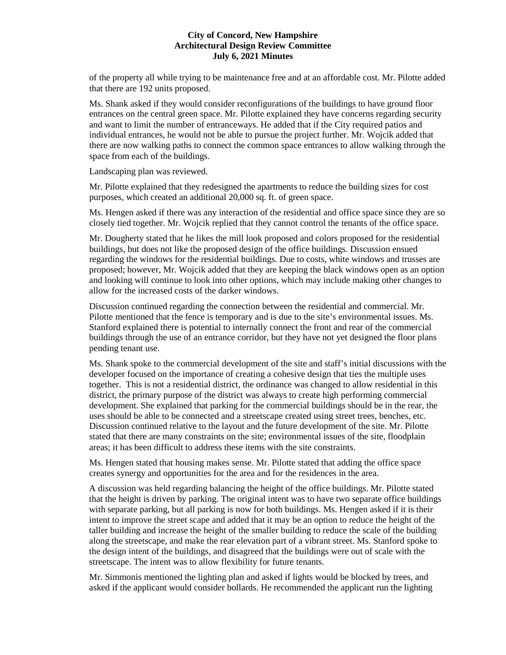of the property all while trying to be maintenance free and at an affordable cost. Mr. Pilotte added that there are 192 units proposed.

Ms. Shank asked if they would consider reconfigurations of the buildings to have ground floor entrances on the central green space. Mr. Pilotte explained they have concerns regarding security and want to limit the number of entranceways. He added that if the City required patios and individual entrances, he would not be able to pursue the project further. Mr. Wojcik added that there are now walking paths to connect the common space entrances to allow walking through the space from each of the buildings.

Landscaping plan was reviewed.

Mr. Pilotte explained that they redesigned the apartments to reduce the building sizes for cost purposes, which created an additional 20,000 sq. ft. of green space.

Ms. Hengen asked if there was any interaction of the residential and office space since they are so closely tied together. Mr. Wojcik replied that they cannot control the tenants of the office space.

Mr. Dougherty stated that he likes the mill look proposed and colors proposed for the residential buildings, but does not like the proposed design of the office buildings. Discussion ensued regarding the windows for the residential buildings. Due to costs, white windows and trusses are proposed; however, Mr. Wojcik added that they are keeping the black windows open as an option and looking will continue to look into other options, which may include making other changes to allow for the increased costs of the darker windows.

Discussion continued regarding the connection between the residential and commercial. Mr. Pilotte mentioned that the fence is temporary and is due to the site's environmental issues. Ms. Stanford explained there is potential to internally connect the front and rear of the commercial buildings through the use of an entrance corridor, but they have not yet designed the floor plans pending tenant use.

Ms. Shank spoke to the commercial development of the site and staff's initial discussions with the developer focused on the importance of creating a cohesive design that ties the multiple uses together. This is not a residential district, the ordinance was changed to allow residential in this district, the primary purpose of the district was always to create high performing commercial development. She explained that parking for the commercial buildings should be in the rear, the uses should be able to be connected and a streetscape created using street trees, benches, etc. Discussion continued relative to the layout and the future development of the site. Mr. Pilotte stated that there are many constraints on the site; environmental issues of the site, floodplain areas; it has been difficult to address these items with the site constraints.

Ms. Hengen stated that housing makes sense. Mr. Pilotte stated that adding the office space creates synergy and opportunities for the area and for the residences in the area.

A discussion was held regarding balancing the height of the office buildings. Mr. Pilotte stated that the height is driven by parking. The original intent was to have two separate office buildings with separate parking, but all parking is now for both buildings. Ms. Hengen asked if it is their intent to improve the street scape and added that it may be an option to reduce the height of the taller building and increase the height of the smaller building to reduce the scale of the building along the streetscape, and make the rear elevation part of a vibrant street. Ms. Stanford spoke to the design intent of the buildings, and disagreed that the buildings were out of scale with the streetscape. The intent was to allow flexibility for future tenants.

Mr. Simmonis mentioned the lighting plan and asked if lights would be blocked by trees, and asked if the applicant would consider bollards. He recommended the applicant run the lighting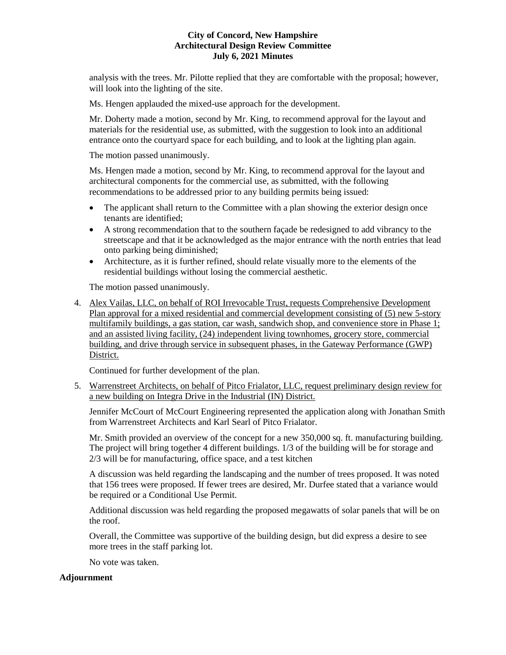analysis with the trees. Mr. Pilotte replied that they are comfortable with the proposal; however, will look into the lighting of the site.

Ms. Hengen applauded the mixed-use approach for the development.

Mr. Doherty made a motion, second by Mr. King, to recommend approval for the layout and materials for the residential use, as submitted, with the suggestion to look into an additional entrance onto the courtyard space for each building, and to look at the lighting plan again.

The motion passed unanimously.

Ms. Hengen made a motion, second by Mr. King, to recommend approval for the layout and architectural components for the commercial use, as submitted, with the following recommendations to be addressed prior to any building permits being issued:

- The applicant shall return to the Committee with a plan showing the exterior design once tenants are identified;
- A strong recommendation that to the southern façade be redesigned to add vibrancy to the streetscape and that it be acknowledged as the major entrance with the north entries that lead onto parking being diminished;
- Architecture, as it is further refined, should relate visually more to the elements of the residential buildings without losing the commercial aesthetic.

The motion passed unanimously.

4. Alex Vailas, LLC, on behalf of ROI Irrevocable Trust, requests Comprehensive Development Plan approval for a mixed residential and commercial development consisting of (5) new 5-story multifamily buildings, a gas station, car wash, sandwich shop, and convenience store in Phase 1; and an assisted living facility, (24) independent living townhomes, grocery store, commercial building, and drive through service in subsequent phases, in the Gateway Performance (GWP) District.

Continued for further development of the plan.

5. Warrenstreet Architects, on behalf of Pitco Frialator, LLC, request preliminary design review for a new building on Integra Drive in the Industrial (IN) District.

Jennifer McCourt of McCourt Engineering represented the application along with Jonathan Smith from Warrenstreet Architects and Karl Searl of Pitco Frialator.

Mr. Smith provided an overview of the concept for a new 350,000 sq. ft. manufacturing building. The project will bring together 4 different buildings. 1/3 of the building will be for storage and 2/3 will be for manufacturing, office space, and a test kitchen

A discussion was held regarding the landscaping and the number of trees proposed. It was noted that 156 trees were proposed. If fewer trees are desired, Mr. Durfee stated that a variance would be required or a Conditional Use Permit.

Additional discussion was held regarding the proposed megawatts of solar panels that will be on the roof.

Overall, the Committee was supportive of the building design, but did express a desire to see more trees in the staff parking lot.

No vote was taken.

# **Adjournment**